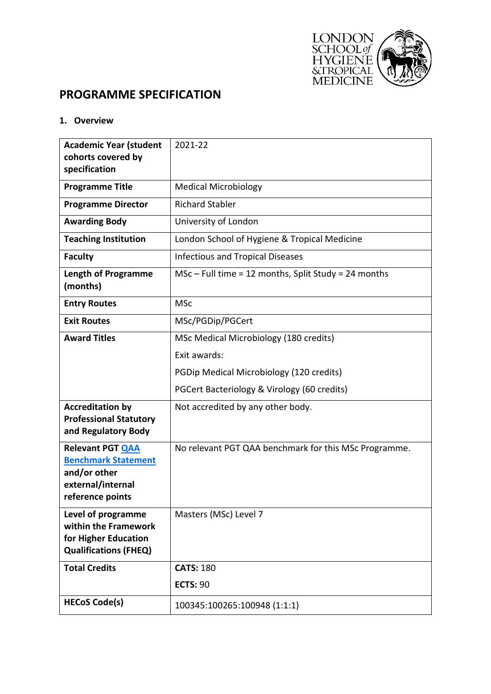

# **PROGRAMME SPECIFICATION**

## **1. Overview**

| <b>Academic Year (student</b><br>cohorts covered by<br>specification                                           | 2021-22                                                |  |  |
|----------------------------------------------------------------------------------------------------------------|--------------------------------------------------------|--|--|
| <b>Programme Title</b>                                                                                         | <b>Medical Microbiology</b>                            |  |  |
| <b>Programme Director</b>                                                                                      | <b>Richard Stabler</b>                                 |  |  |
| <b>Awarding Body</b>                                                                                           | University of London                                   |  |  |
| <b>Teaching Institution</b>                                                                                    | London School of Hygiene & Tropical Medicine           |  |  |
| <b>Faculty</b>                                                                                                 | <b>Infectious and Tropical Diseases</b>                |  |  |
| <b>Length of Programme</b><br>(months)                                                                         | $MSc$ – Full time = 12 months, Split Study = 24 months |  |  |
| <b>Entry Routes</b>                                                                                            | <b>MSc</b>                                             |  |  |
| <b>Exit Routes</b>                                                                                             | MSc/PGDip/PGCert                                       |  |  |
| <b>Award Titles</b>                                                                                            | MSc Medical Microbiology (180 credits)                 |  |  |
|                                                                                                                | Exit awards:                                           |  |  |
|                                                                                                                | PGDip Medical Microbiology (120 credits)               |  |  |
|                                                                                                                | PGCert Bacteriology & Virology (60 credits)            |  |  |
| <b>Accreditation by</b><br><b>Professional Statutory</b><br>and Regulatory Body                                | Not accredited by any other body.                      |  |  |
| <b>Relevant PGT QAA</b><br><b>Benchmark Statement</b><br>and/or other<br>external/internal<br>reference points | No relevant PGT QAA benchmark for this MSc Programme.  |  |  |
| Level of programme<br>within the Framework<br>for Higher Education<br><b>Qualifications (FHEQ)</b>             | Masters (MSc) Level 7                                  |  |  |
| <b>Total Credits</b>                                                                                           | <b>CATS: 180</b>                                       |  |  |
|                                                                                                                | <b>ECTS: 90</b>                                        |  |  |
| <b>HECoS Code(s)</b>                                                                                           | 100345:100265:100948 (1:1:1)                           |  |  |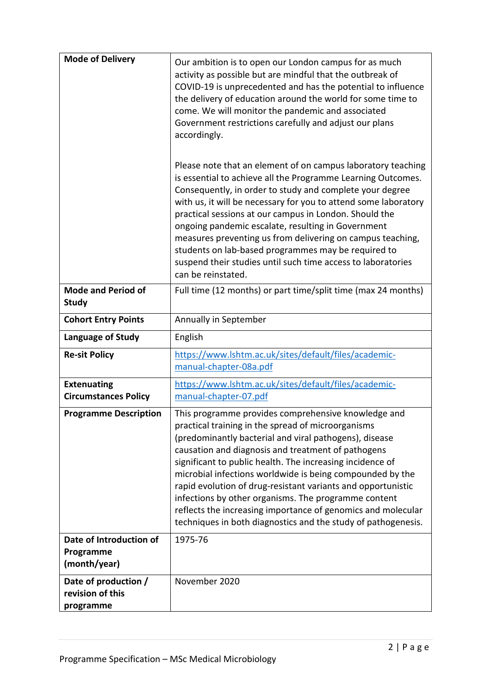| <b>Mode of Delivery</b>                           | Our ambition is to open our London campus for as much<br>activity as possible but are mindful that the outbreak of<br>COVID-19 is unprecedented and has the potential to influence<br>the delivery of education around the world for some time to<br>come. We will monitor the pandemic and associated<br>Government restrictions carefully and adjust our plans<br>accordingly.                                                                                                                                                                                                                             |
|---------------------------------------------------|--------------------------------------------------------------------------------------------------------------------------------------------------------------------------------------------------------------------------------------------------------------------------------------------------------------------------------------------------------------------------------------------------------------------------------------------------------------------------------------------------------------------------------------------------------------------------------------------------------------|
|                                                   | Please note that an element of on campus laboratory teaching<br>is essential to achieve all the Programme Learning Outcomes.<br>Consequently, in order to study and complete your degree<br>with us, it will be necessary for you to attend some laboratory<br>practical sessions at our campus in London. Should the<br>ongoing pandemic escalate, resulting in Government<br>measures preventing us from delivering on campus teaching,<br>students on lab-based programmes may be required to<br>suspend their studies until such time access to laboratories<br>can be reinstated.                       |
| <b>Mode and Period of</b><br><b>Study</b>         | Full time (12 months) or part time/split time (max 24 months)                                                                                                                                                                                                                                                                                                                                                                                                                                                                                                                                                |
| <b>Cohort Entry Points</b>                        | Annually in September                                                                                                                                                                                                                                                                                                                                                                                                                                                                                                                                                                                        |
| <b>Language of Study</b>                          | English                                                                                                                                                                                                                                                                                                                                                                                                                                                                                                                                                                                                      |
| <b>Re-sit Policy</b>                              | https://www.lshtm.ac.uk/sites/default/files/academic-<br>manual-chapter-08a.pdf                                                                                                                                                                                                                                                                                                                                                                                                                                                                                                                              |
| <b>Extenuating</b><br><b>Circumstances Policy</b> | https://www.lshtm.ac.uk/sites/default/files/academic-<br>manual-chapter-07.pdf                                                                                                                                                                                                                                                                                                                                                                                                                                                                                                                               |
| <b>Programme Description</b>                      | This programme provides comprehensive knowledge and<br>practical training in the spread of microorganisms<br>(predominantly bacterial and viral pathogens), disease<br>causation and diagnosis and treatment of pathogens<br>significant to public health. The increasing incidence of<br>microbial infections worldwide is being compounded by the<br>rapid evolution of drug-resistant variants and opportunistic<br>infections by other organisms. The programme content<br>reflects the increasing importance of genomics and molecular<br>techniques in both diagnostics and the study of pathogenesis. |
| Date of Introduction of                           | 1975-76                                                                                                                                                                                                                                                                                                                                                                                                                                                                                                                                                                                                      |
| Programme<br>(month/year)                         |                                                                                                                                                                                                                                                                                                                                                                                                                                                                                                                                                                                                              |
| Date of production /<br>revision of this          | November 2020                                                                                                                                                                                                                                                                                                                                                                                                                                                                                                                                                                                                |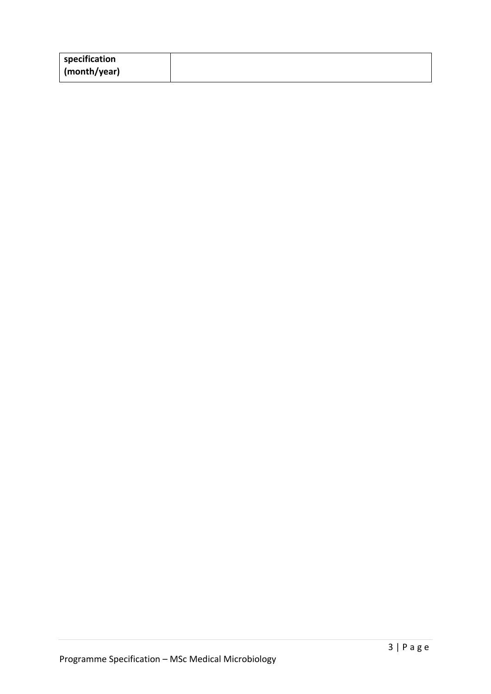| specification |  |
|---------------|--|
| (month/year)  |  |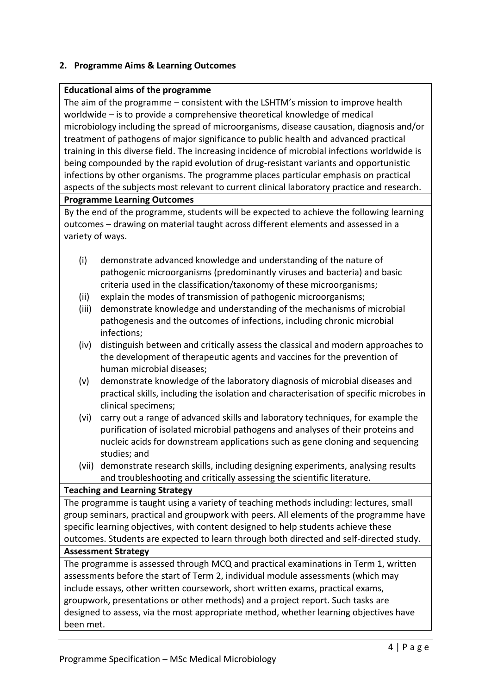## **2. Programme Aims & Learning Outcomes**

### **Educational aims of the programme**

The aim of the programme – consistent with the LSHTM's mission to improve health worldwide – is to provide a comprehensive theoretical knowledge of medical microbiology including the spread of microorganisms, disease causation, diagnosis and/or treatment of pathogens of major significance to public health and advanced practical training in this diverse field. The increasing incidence of microbial infections worldwide is being compounded by the rapid evolution of drug-resistant variants and opportunistic infections by other organisms. The programme places particular emphasis on practical aspects of the subjects most relevant to current clinical laboratory practice and research.

#### **Programme Learning Outcomes**

By the end of the programme, students will be expected to achieve the following learning outcomes – drawing on material taught across different elements and assessed in a variety of ways.

- (i) demonstrate advanced knowledge and understanding of the nature of pathogenic microorganisms (predominantly viruses and bacteria) and basic criteria used in the classification/taxonomy of these microorganisms;
- (ii) explain the modes of transmission of pathogenic microorganisms;
- (iii) demonstrate knowledge and understanding of the mechanisms of microbial pathogenesis and the outcomes of infections, including chronic microbial infections;
- (iv) distinguish between and critically assess the classical and modern approaches to the development of therapeutic agents and vaccines for the prevention of human microbial diseases;
- (v) demonstrate knowledge of the laboratory diagnosis of microbial diseases and practical skills, including the isolation and characterisation of specific microbes in clinical specimens;
- (vi) carry out a range of advanced skills and laboratory techniques, for example the purification of isolated microbial pathogens and analyses of their proteins and nucleic acids for downstream applications such as gene cloning and sequencing studies; and
- (vii) demonstrate research skills, including designing experiments, analysing results and troubleshooting and critically assessing the scientific literature.

#### **Teaching and Learning Strategy**

The programme is taught using a variety of teaching methods including: lectures, small group seminars, practical and groupwork with peers. All elements of the programme have specific learning objectives, with content designed to help students achieve these outcomes. Students are expected to learn through both directed and self-directed study.

#### **Assessment Strategy**

The programme is assessed through MCQ and practical examinations in Term 1, written assessments before the start of Term 2, individual module assessments (which may include essays, other written coursework, short written exams, practical exams, groupwork, presentations or other methods) and a project report. Such tasks are designed to assess, via the most appropriate method, whether learning objectives have been met.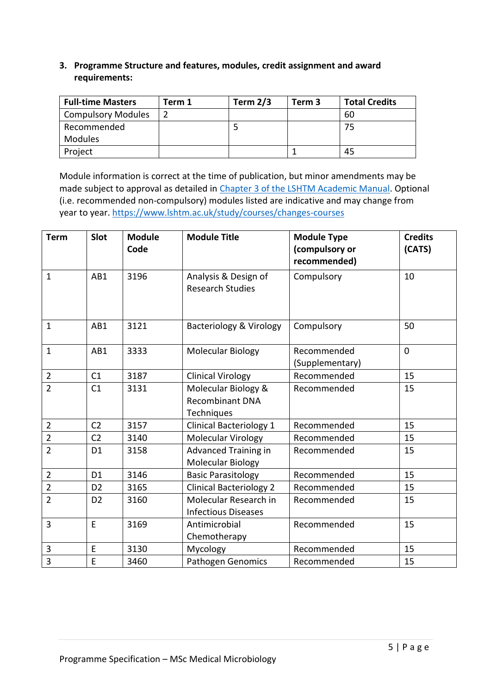## **3. Programme Structure and features, modules, credit assignment and award requirements:**

| <b>Full-time Masters</b> | Term 1 | Term $2/3$ | Term 3 | <b>Total Credits</b> |
|--------------------------|--------|------------|--------|----------------------|
| Compulsory Modules       |        |            |        | 60                   |
| Recommended              |        |            |        | 75                   |
| <b>Modules</b>           |        |            |        |                      |
| Project                  |        |            |        | 45                   |

Module information is correct at the time of publication, but minor amendments may be made subject to approval as detailed in [Chapter 3 of the LSHTM Academic Manual.](https://www.lshtm.ac.uk/sites/default/files/academic-manual-chapter-03.pdf) Optional (i.e. recommended non-compulsory) modules listed are indicative and may change from year to year.<https://www.lshtm.ac.uk/study/courses/changes-courses>

| <b>Term</b>    | Slot           | <b>Module</b><br>Code | <b>Module Title</b>                                                | <b>Module Type</b><br>(compulsory or<br>recommended) | <b>Credits</b><br>(CATS) |
|----------------|----------------|-----------------------|--------------------------------------------------------------------|------------------------------------------------------|--------------------------|
| $\mathbf{1}$   | AB1            | 3196                  | Analysis & Design of<br><b>Research Studies</b>                    | Compulsory                                           | 10                       |
| $\mathbf{1}$   | AB1            | 3121                  | Bacteriology & Virology                                            | Compulsory                                           | 50                       |
| $\mathbf{1}$   | AB1            | 3333                  | <b>Molecular Biology</b>                                           | Recommended<br>(Supplementary)                       | $\mathbf 0$              |
| $\overline{2}$ | C1             | 3187                  | <b>Clinical Virology</b>                                           | Recommended                                          | 15                       |
| $\overline{2}$ | C1             | 3131                  | Molecular Biology &<br><b>Recombinant DNA</b><br>Techniques        | Recommended                                          | 15                       |
| $\overline{2}$ | C <sub>2</sub> | 3157                  | <b>Clinical Bacteriology 1</b>                                     | Recommended                                          | 15                       |
| $\overline{2}$ | C <sub>2</sub> | 3140                  | <b>Molecular Virology</b>                                          | Recommended                                          | 15                       |
| $\overline{2}$ | D <sub>1</sub> | 3158                  | <b>Advanced Training in</b><br><b>Molecular Biology</b>            | Recommended                                          | 15                       |
| $\overline{2}$ | D <sub>1</sub> | 3146                  | <b>Basic Parasitology</b>                                          | Recommended                                          | 15                       |
| $\overline{2}$ | D <sub>2</sub> | 3165                  | <b>Clinical Bacteriology 2</b>                                     | Recommended                                          | 15                       |
| $\overline{2}$ | D <sub>2</sub> | 3160                  | Molecular Research in<br>Recommended<br><b>Infectious Diseases</b> |                                                      | 15                       |
| $\overline{3}$ | E              | 3169                  | Antimicrobial<br>Chemotherapy                                      | Recommended                                          | 15                       |
| 3              | E              | 3130                  | Mycology                                                           | Recommended                                          | 15                       |
| 3              | E              | 3460                  | <b>Pathogen Genomics</b>                                           | Recommended                                          | 15                       |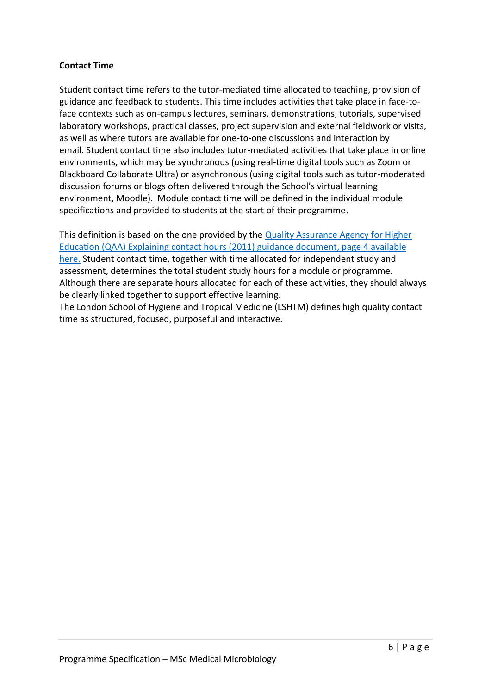## **Contact Time**

Student contact time refers to the tutor-mediated time allocated to teaching, provision of guidance and feedback to students. This time includes activities that take place in face-toface contexts such as on-campus lectures, seminars, demonstrations, tutorials, supervised laboratory workshops, practical classes, project supervision and external fieldwork or visits, as well as where tutors are available for one-to-one discussions and interaction by email. Student contact time also includes tutor-mediated activities that take place in online environments, which may be synchronous (using real-time digital tools such as Zoom or Blackboard Collaborate Ultra) or asynchronous (using digital tools such as tutor-moderated discussion forums or blogs often delivered through the School's virtual learning environment, Moodle). Module contact time will be defined in the individual module specifications and provided to students at the start of their programme.

This definition is based on the one provided by the [Quality Assurance Agency for Higher](https://www.qaa.ac.uk/docs/qaa/quality-code/contact-hours-guidance.pdf)  [Education \(QAA\) Explaining contact hours \(2011\)](https://www.qaa.ac.uk/docs/qaa/quality-code/contact-hours-guidance.pdf) guidance document, page 4 available [here.](https://www.qaa.ac.uk/docs/qaa/quality-code/contact-hours-guidance.pdf) Student contact time, together with time allocated for independent study and assessment, determines the total student study hours for a module or programme. Although there are separate hours allocated for each of these activities, they should always be clearly linked together to support effective learning.

The London School of Hygiene and Tropical Medicine (LSHTM) defines high quality contact time as structured, focused, purposeful and interactive.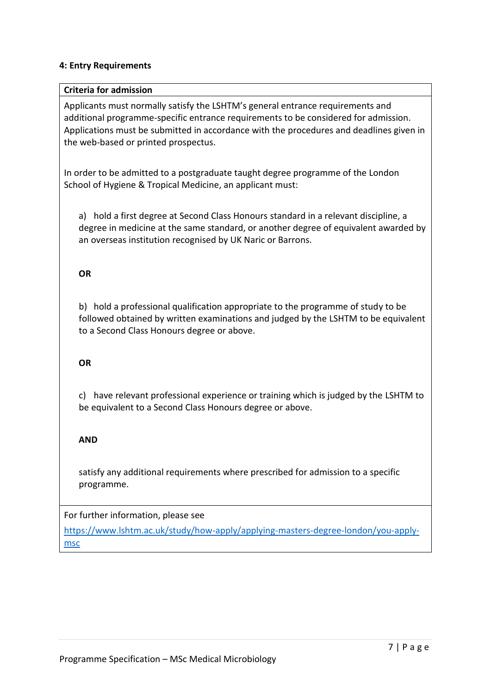### **4: Entry Requirements**

#### **Criteria for admission**

Applicants must normally satisfy the LSHTM's general entrance requirements and additional programme-specific entrance requirements to be considered for admission. Applications must be submitted in accordance with the procedures and deadlines given in the web-based or printed prospectus.

In order to be admitted to a postgraduate taught degree programme of the London School of Hygiene & Tropical Medicine, an applicant must:

a) hold a first degree at Second Class Honours standard in a relevant discipline, a degree in medicine at the same standard, or another degree of equivalent awarded by an overseas institution recognised by UK Naric or Barrons.

#### **OR**

b) hold a professional qualification appropriate to the programme of study to be followed obtained by written examinations and judged by the LSHTM to be equivalent to a Second Class Honours degree or above.

#### **OR**

c) have relevant professional experience or training which is judged by the LSHTM to be equivalent to a Second Class Honours degree or above.

## **AND**

satisfy any additional requirements where prescribed for admission to a specific programme.

## For further information, please see

[https://www.lshtm.ac.uk/study/how-apply/applying-masters-degree-london/you-apply](https://www.lshtm.ac.uk/study/how-apply/applying-masters-degree-london/you-apply-msc)[msc](https://www.lshtm.ac.uk/study/how-apply/applying-masters-degree-london/you-apply-msc)